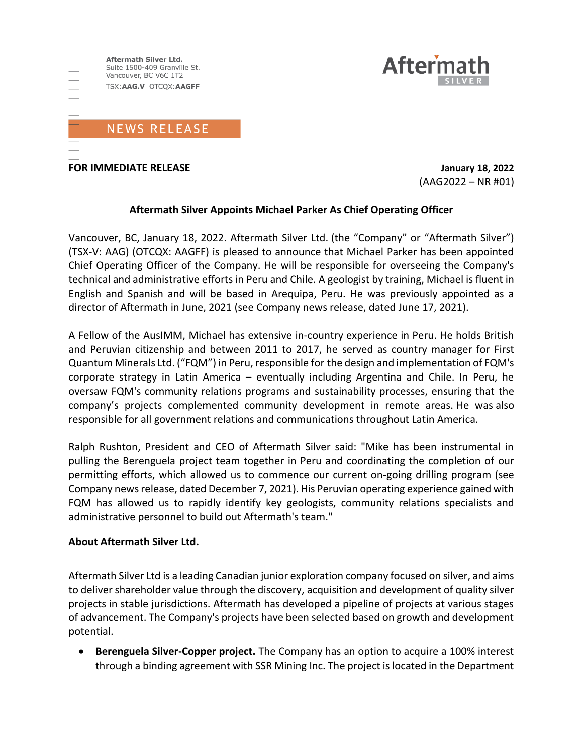

**FOR IMMEDIATE RELEASE January 18, 2022**

 $(AAG2022 - NR #01)$ 

**Aftern** 

### **Aftermath Silver Appoints Michael Parker As Chief Operating Officer**

Vancouver, BC, January 18, 2022. Aftermath Silver Ltd. (the "Company" or "Aftermath Silver") (TSX-V: AAG) (OTCQX: AAGFF) is pleased to announce that Michael Parker has been appointed Chief Operating Officer of the Company. He will be responsible for overseeing the Company's technical and administrative efforts in Peru and Chile. A geologist by training, Michael is fluent in English and Spanish and will be based in Arequipa, Peru. He was previously appointed as a director of Aftermath in June, 2021 (see Company news release, dated June 17, 2021).

A Fellow of the AusIMM, Michael has extensive in-country experience in Peru. He holds British and Peruvian citizenship and between 2011 to 2017, he served as country manager for First Quantum Minerals Ltd. ("FQM") in Peru, responsible for the design and implementation of FQM's corporate strategy in Latin America – eventually including Argentina and Chile. In Peru, he oversaw FQM's community relations programs and sustainability processes, ensuring that the company's projects complemented community development in remote areas. He was also responsible for all government relations and communications throughout Latin America.

Ralph Rushton, President and CEO of Aftermath Silver said: "Mike has been instrumental in pulling the Berenguela project team together in Peru and coordinating the completion of our permitting efforts, which allowed us to commence our current on-going drilling program (see Company newsrelease, dated December 7, 2021). His Peruvian operating experience gained with FQM has allowed us to rapidly identify key geologists, community relations specialists and administrative personnel to build out Aftermath's team."

#### **About Aftermath Silver Ltd.**

Aftermath Silver Ltd is a leading Canadian junior exploration company focused on silver, and aims to deliver shareholder value through the discovery, acquisition and development of quality silver projects in stable jurisdictions. Aftermath has developed a pipeline of projects at various stages of advancement. The Company's projects have been selected based on growth and development potential.

• **Berenguela Silver-Copper project.** The Company has an option to acquire a 100% interest through a binding agreement with SSR Mining Inc. The project is located in the Department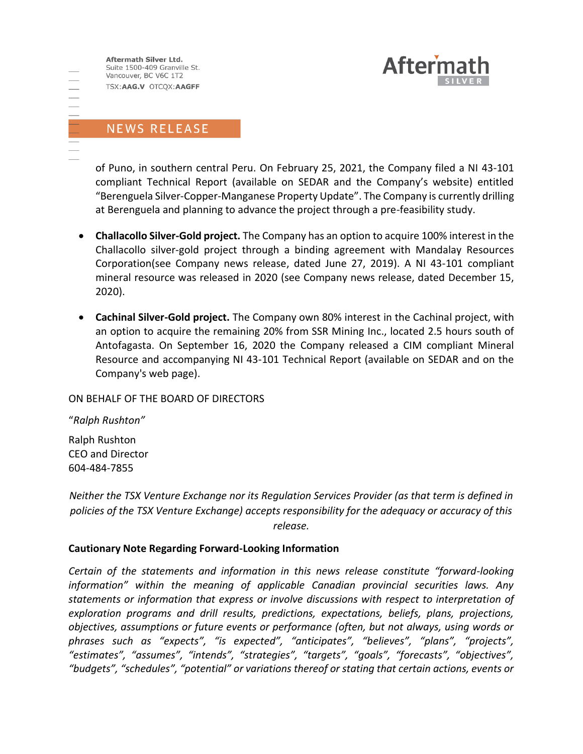Aftermath Silver Ltd. Suite 1500-409 Granville St. Vancouver, BC V6C 1T2 TSX:AAG.V OTCQX:AAGFF



# NEWS RELEASE

of Puno, in southern central Peru. On February 25, 2021, the Company filed a NI 43-101 compliant Technical Report (available on SEDAR and the Company's website) entitled "Berenguela Silver-Copper-Manganese Property Update". The Company is currently drilling at Berenguela and planning to advance the project through a pre-feasibility study.

- **Challacollo Silver-Gold project.** The Company has an option to acquire 100% interest in the Challacollo silver-gold project through a binding agreement with Mandalay Resources Corporation(see Company news release, dated June 27, 2019). A NI 43-101 compliant mineral resource was released in 2020 (see Company news release, dated December 15, 2020).
- **Cachinal Silver-Gold project.** The Company own 80% interest in the Cachinal project, with an option to acquire the remaining 20% from SSR Mining Inc., located 2.5 hours south of Antofagasta. On September 16, 2020 the Company released a CIM compliant Mineral Resource and accompanying NI 43-101 Technical Report (available on SEDAR and on the Company's web page).

#### ON BEHALF OF THE BOARD OF DIRECTORS

"*Ralph Rushton"*

Ralph Rushton CEO and Director 604-484-7855

*Neither the TSX Venture Exchange nor its Regulation Services Provider (as that term is defined in policies of the TSX Venture Exchange) accepts responsibility for the adequacy or accuracy of this release.*

#### **Cautionary Note Regarding Forward-Looking Information**

*Certain of the statements and information in this news release constitute "forward-looking information" within the meaning of applicable Canadian provincial securities laws. Any statements or information that express or involve discussions with respect to interpretation of exploration programs and drill results, predictions, expectations, beliefs, plans, projections, objectives, assumptions or future events or performance (often, but not always, using words or phrases such as "expects", "is expected", "anticipates", "believes", "plans", "projects", "estimates", "assumes", "intends", "strategies", "targets", "goals", "forecasts", "objectives", "budgets", "schedules", "potential" or variations thereof or stating that certain actions, events or*